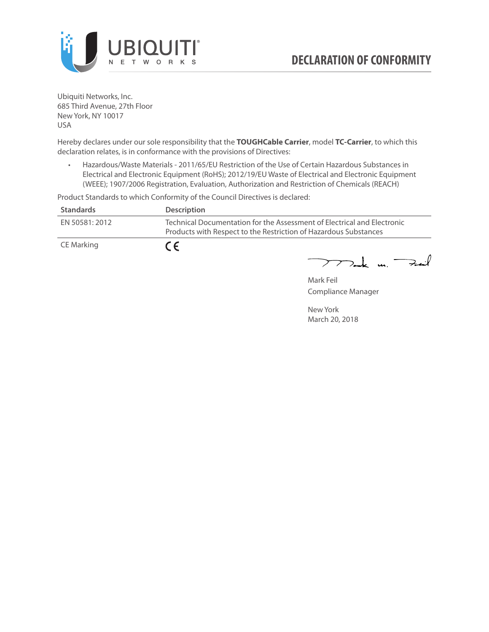

Ubiquiti Networks, Inc. 685 Third Avenue, 27th Floor New York, NY 10017 USA

Hereby declares under our sole responsibility that the **TOUGHCable Carrier**, model **TC-Carrier**, to which this declaration relates, is in conformance with the provisions of Directives:

• Hazardous/Waste Materials - 2011/65/EU Restriction of the Use of Certain Hazardous Substances in Electrical and Electronic Equipment (RoHS); 2012/19/EU Waste of Electrical and Electronic Equipment (WEEE); 1907/2006 Registration, Evaluation, Authorization and Restriction of Chemicals (REACH)

Product Standards to which Conformity of the Council Directives is declared:

| <b>Standards</b> | <b>Description</b>                                                                                                                          |
|------------------|---------------------------------------------------------------------------------------------------------------------------------------------|
| EN 50581: 2012   | Technical Documentation for the Assessment of Electrical and Electronic<br>Products with Respect to the Restriction of Hazardous Substances |
| CE Marking       | $\epsilon$                                                                                                                                  |

 $772$ ak m. Fail

Mark Feil Compliance Manager

New York March 20, 2018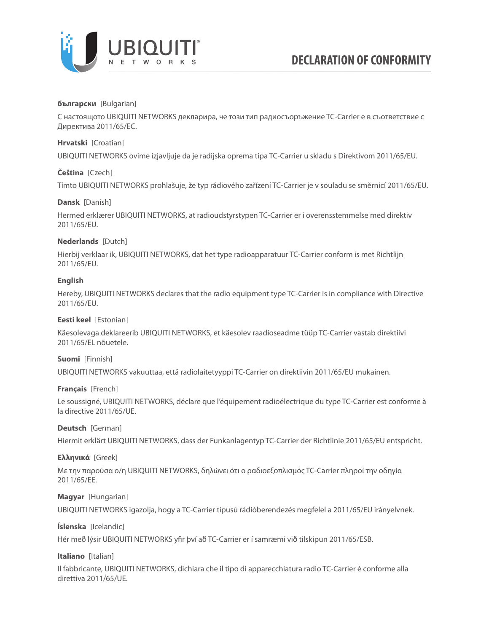

### **български** [Bulgarian]

С настоящото UBIQUITI NETWORKS декларира, че този тип радиосъоръжение TC-Carrier е в съответствие с Директива 2011/65/ЕС.

### **Hrvatski** [Croatian]

UBIQUITI NETWORKS ovime izjavljuje da je radijska oprema tipa TC-Carrier u skladu s Direktivom 2011/65/ЕU.

# **Čeština** [Czech]

Tímto UBIQUITI NETWORKS prohlašuje, že typ rádiového zařízení TC-Carrier je v souladu se směrnicí 2011/65/ЕU.

### **Dansk** [Danish]

Hermed erklærer UBIQUITI NETWORKS, at radioudstyrstypen TC-Carrier er i overensstemmelse med direktiv 2011/65/ЕU.

# **Nederlands** [Dutch]

Hierbij verklaar ik, UBIQUITI NETWORKS, dat het type radioapparatuur TC-Carrier conform is met Richtlijn 2011/65/ЕU.

# **English**

Hereby, UBIQUITI NETWORKS declares that the radio equipment type TC-Carrier is in compliance with Directive 2011/65/ЕU.

### **Eesti keel** [Estonian]

Käesolevaga deklareerib UBIQUITI NETWORKS, et käesolev raadioseadme tüüp TC-Carrier vastab direktiivi 2011/65/EL nõuetele.

### **Suomi** [Finnish]

UBIQUITI NETWORKS vakuuttaa, että radiolaitetyyppi TC-Carrier on direktiivin 2011/65/EU mukainen.

### **Français** [French]

Le soussigné, UBIQUITI NETWORKS, déclare que l'équipement radioélectrique du type TC-Carrier est conforme à la directive 2011/65/UE.

### **Deutsch** [German]

Hiermit erklärt UBIQUITI NETWORKS, dass der Funkanlagentyp TC-Carrier der Richtlinie 2011/65/EU entspricht.

### **Ελληνικά** [Greek]

Με την παρούσα ο/η UBIQUITI NETWORKS, δηλώνει ότι ο ραδιοεξοπλισμός TC-Carrier πληροί την οδηγία 2011/65/EE.

### **Magyar** [Hungarian]

UBIQUITI NETWORKS igazolja, hogy a TC-Carrier típusú rádióberendezés megfelel a 2011/65/EU irányelvnek.

# **Íslenska** [Icelandic]

Hér með lýsir UBIQUITI NETWORKS yfir því að TC-Carrier er í samræmi við tilskipun 2011/65/ESB.

### **Italiano** [Italian]

Il fabbricante, UBIQUITI NETWORKS, dichiara che il tipo di apparecchiatura radio TC-Carrier è conforme alla direttiva 2011/65/UE.